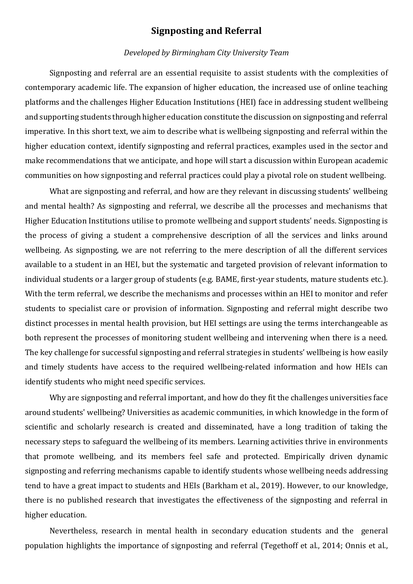## **Signposting and Referral**

#### *Developed by Birmingham City University Team*

Signposting and referral are an essential requisite to assist students with the complexities of contemporary academic life. The expansion of higher education, the increased use of online teaching platforms and the challenges Higher Education Institutions (HEI) face in addressing student wellbeing and supporting students through higher education constitute the discussion on signposting and referral imperative. In this short text, we aim to describe what is wellbeing signposting and referral within the higher education context, identify signposting and referral practices, examples used in the sector and make recommendations that we anticipate, and hope will start a discussion within European academic communities on how signposting and referral practices could play a pivotal role on student wellbeing.

What are signposting and referral, and how are they relevant in discussing students' wellbeing and mental health? As signposting and referral, we describe all the processes and mechanisms that Higher Education Institutions utilise to promote wellbeing and support students' needs. Signposting is the process of giving a student a comprehensive description of all the services and links around wellbeing. As signposting, we are not referring to the mere description of all the different services available to a student in an HEI, but the systematic and targeted provision of relevant information to individual students or a larger group of students (e.g. BAME, first-year students, mature students etc.). With the term referral, we describe the mechanisms and processes within an HEI to monitor and refer students to specialist care or provision of information. Signposting and referral might describe two distinct processes in mental health provision, but HEI settings are using the terms interchangeable as both represent the processes of monitoring student wellbeing and intervening when there is a need. The key challenge for successful signposting and referral strategies in students' wellbeing is how easily and timely students have access to the required wellbeing-related information and how HEIs can identify students who might need specific services.

Why are signposting and referral important, and how do they fit the challenges universities face around students' wellbeing? Universities as academic communities, in which knowledge in the form of scientific and scholarly research is created and disseminated, have a long tradition of taking the necessary steps to safeguard the wellbeing of its members. Learning activities thrive in environments that promote wellbeing, and its members feel safe and protected. Empirically driven dynamic signposting and referring mechanisms capable to identify students whose wellbeing needs addressing tend to have a great impact to students and HEIs (Barkham et al., 2019). However, to our knowledge, there is no published research that investigates the effectiveness of the signposting and referral in higher education.

Nevertheless, research in mental health in secondary education students and the general population highlights the importance of signposting and referral (Tegethoff et al., 2014; Onnis et al.,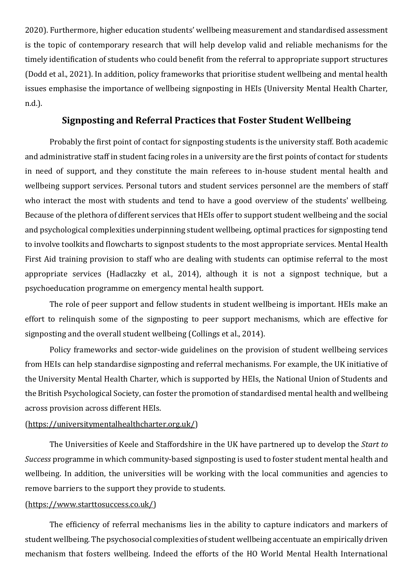2020). Furthermore, higher education students' wellbeing measurement and standardised assessment is the topic of contemporary research that will help develop valid and reliable mechanisms for the timely identification of students who could benefit from the referral to appropriate support structures (Dodd et al., 2021). In addition, policy frameworks that prioritise student wellbeing and mental health issues emphasise the importance of wellbeing signposting in HEIs (University Mental Health Charter, n.d.).

## **Signposting and Referral Practices that Foster Student Wellbeing**

Probably the first point of contact for signposting students is the university staff. Both academic and administrative staff in student facing roles in a university are the first points of contact for students in need of support, and they constitute the main referees to in-house student mental health and wellbeing support services. Personal tutors and student services personnel are the members of staff who interact the most with students and tend to have a good overview of the students' wellbeing. Because of the plethora of different services that HEIs offer to support student wellbeing and the social and psychological complexities underpinning student wellbeing, optimal practices for signposting tend to involve toolkits and flowcharts to signpost students to the most appropriate services. Mental Health First Aid training provision to staff who are dealing with students can optimise referral to the most appropriate services (Hadlaczky et al., 2014), although it is not a signpost technique, but a psychoeducation programme on emergency mental health support.

The role of peer support and fellow students in student wellbeing is important. HEIs make an effort to relinquish some of the signposting to peer support mechanisms, which are effective for signposting and the overall student wellbeing (Collings et al., 2014).

Policy frameworks and sector-wide guidelines on the provision of student wellbeing services from HEIs can help standardise signposting and referral mechanisms. For example, the UK initiative of the University Mental Health Charter, which is supported by HEIs, the National Union of Students and the British Psychological Society, can foster the promotion of standardised mental health and wellbeing across provision across different HEIs.

#### [\(https://universitymentalhealthcharter.org.uk/\)](https://universitymentalhealthcharter.org.uk/)

The Universities of Keele and Staffordshire in the UK have partnered up to develop the *Start to Success* programme in which community-based signposting is used to foster student mental health and wellbeing. In addition, the universities will be working with the local communities and agencies to remove barriers to the support they provide to students.

#### [\(https://www.starttosuccess.co.uk/\)](https://www.starttosuccess.co.uk/)

The efficiency of referral mechanisms lies in the ability to capture indicators and markers of student wellbeing. The psychosocial complexities of student wellbeing accentuate an empirically driven mechanism that fosters wellbeing. Indeed the efforts of the HO World Mental Health International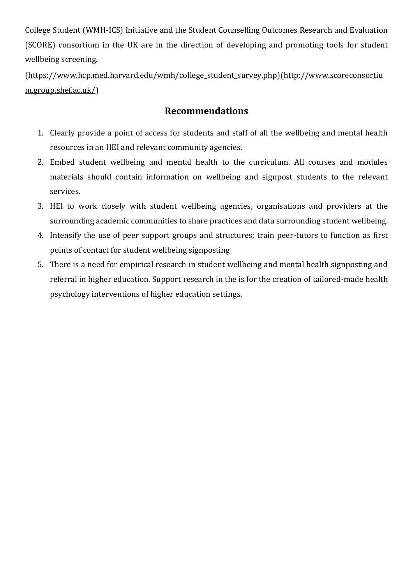College Student (WMH-ICS) Initiative and the Student Counselling Outcomes Research and Evaluation (SCORE) consortium in the UK are in the direction of developing and promoting tools for student wellbeing screening.

[\(https://www.hcp.med.harvard.edu/wmh/college\\_student\\_survey.php\)](https://www.hcp.med.harvard.edu/wmh/college_student_survey.php)[\(http://www.scoreconsortiu](http://www.scoreconsortium.group.shef.ac.uk/) [m.group.shef.ac.uk/\)](http://www.scoreconsortium.group.shef.ac.uk/)

# **Recommendations**

- 1. Clearly provide a point of access for students and staff of all the wellbeing and mental health resources in an HEI and relevant community agencies.
- 2. Embed student wellbeing and mental health to the curriculum. All courses and modules materials should contain information on wellbeing and signpost students to the relevant services.
- 3. HEI to work closely with student wellbeing agencies, organisations and providers at the surrounding academic communities to share practices and data surrounding student wellbeing.
- 4. Intensify the use of peer support groups and structures; train peer-tutors to function as first points of contact for student wellbeing signposting
- 5. There is a need for empirical research in student wellbeing and mental health signposting and referral in higher education. Support research in the is for the creation of tailored-made health psychology interventions of higher education settings.